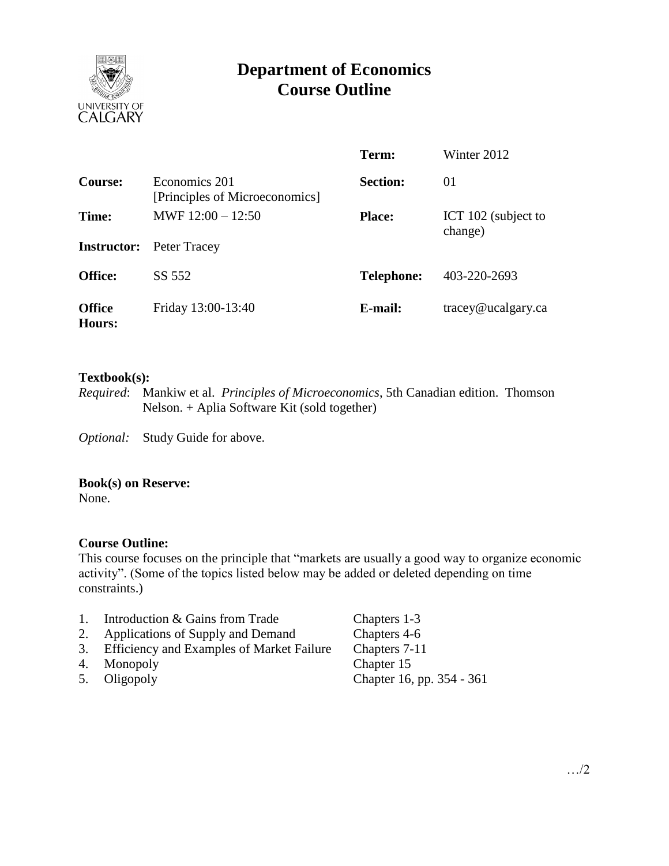

# **Department of Economics Course Outline**

|                                |                                                 | Term:             | Winter 2012         |
|--------------------------------|-------------------------------------------------|-------------------|---------------------|
| Course:                        | Economics 201<br>[Principles of Microeconomics] | <b>Section:</b>   | 01                  |
| Time:                          | MWF $12:00 - 12:50$                             | <b>Place:</b>     | ICT 102 (subject to |
| <b>Instructor:</b>             | Peter Tracey                                    |                   | change)             |
| <b>Office:</b>                 | SS 552                                          | <b>Telephone:</b> | 403-220-2693        |
| <b>Office</b><br><b>Hours:</b> | Friday 13:00-13:40                              | E-mail:           | tracey@ucalgary.ca  |

### **Textbook(s):**

*Required*: Mankiw et al. *Principles of Microeconomics*, 5th Canadian edition. Thomson Nelson. + Aplia Software Kit (sold together)

*Optional:* Study Guide for above.

### **Book(s) on Reserve:**

None.

# **Course Outline:**

This course focuses on the principle that "markets are usually a good way to organize economic activity". (Some of the topics listed below may be added or deleted depending on time constraints.)

- 1. Introduction & Gains from Trade Chapters 1-3
- 2. Applications of Supply and Demand Chapters 4-6
- 3. Efficiency and Examples of Market Failure Chapters 7-11
- 
- 

4. Monopoly Chapter 15<br>5. Oligopoly Chapter 16, 5. Oligopoly Chapter 16, pp. 354 - 361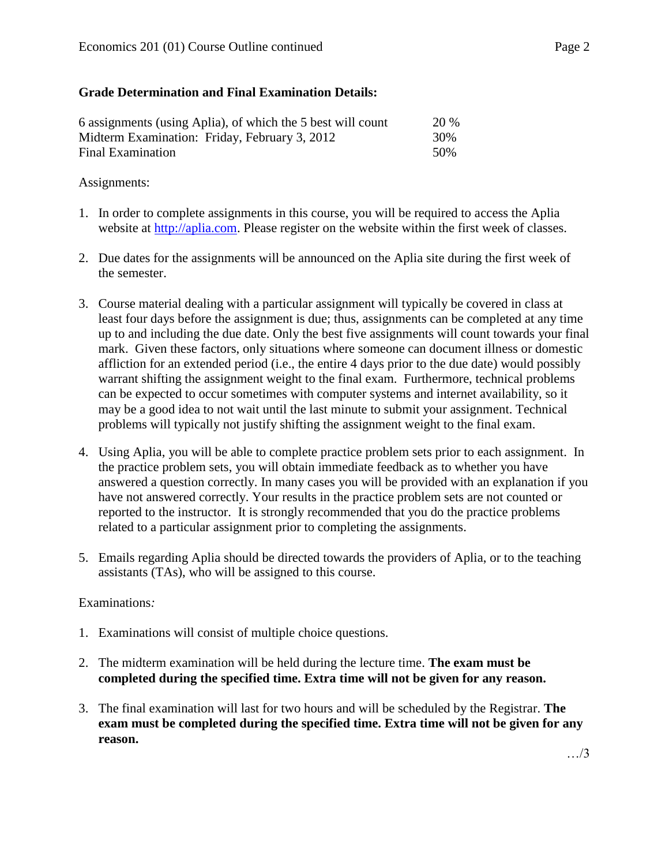# **Grade Determination and Final Examination Details:**

| 6 assignments (using Aplia), of which the 5 best will count | <b>20 %</b> |
|-------------------------------------------------------------|-------------|
| Midterm Examination: Friday, February 3, 2012               | 30%         |
| Final Examination                                           | 50%         |

# Assignments:

- 1. In order to complete assignments in this course, you will be required to access the Aplia website at [http://aplia.com.](http://aplia.com/) Please register on the website within the first week of classes.
- 2. Due dates for the assignments will be announced on the Aplia site during the first week of the semester.
- 3. Course material dealing with a particular assignment will typically be covered in class at least four days before the assignment is due; thus, assignments can be completed at any time up to and including the due date. Only the best five assignments will count towards your final mark. Given these factors, only situations where someone can document illness or domestic affliction for an extended period (i.e., the entire 4 days prior to the due date) would possibly warrant shifting the assignment weight to the final exam. Furthermore, technical problems can be expected to occur sometimes with computer systems and internet availability, so it may be a good idea to not wait until the last minute to submit your assignment. Technical problems will typically not justify shifting the assignment weight to the final exam.
- 4. Using Aplia, you will be able to complete practice problem sets prior to each assignment. In the practice problem sets, you will obtain immediate feedback as to whether you have answered a question correctly. In many cases you will be provided with an explanation if you have not answered correctly. Your results in the practice problem sets are not counted or reported to the instructor. It is strongly recommended that you do the practice problems related to a particular assignment prior to completing the assignments.
- 5. Emails regarding Aplia should be directed towards the providers of Aplia, or to the teaching assistants (TAs), who will be assigned to this course.

# Examinations*:*

- 1. Examinations will consist of multiple choice questions.
- 2. The midterm examination will be held during the lecture time. **The exam must be completed during the specified time. Extra time will not be given for any reason.**
- 3. The final examination will last for two hours and will be scheduled by the Registrar. **The exam must be completed during the specified time. Extra time will not be given for any reason.**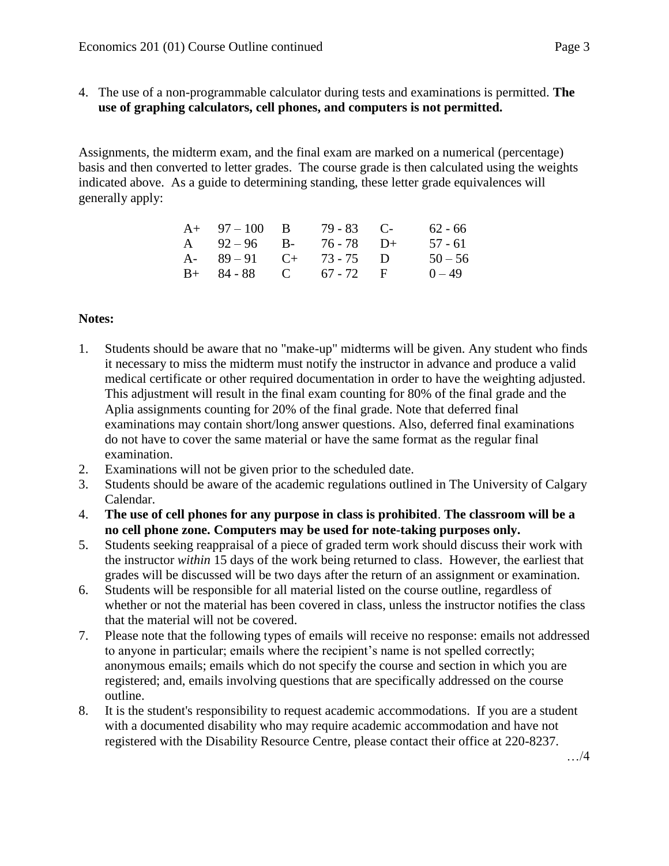4. The use of a non-programmable calculator during tests and examinations is permitted. **The use of graphing calculators, cell phones, and computers is not permitted.**

Assignments, the midterm exam, and the final exam are marked on a numerical (percentage) basis and then converted to letter grades. The course grade is then calculated using the weights indicated above. As a guide to determining standing, these letter grade equivalences will generally apply:

| $A+ 97-100 B$           | $79 - 83$ C- | $62 - 66$ |
|-------------------------|--------------|-----------|
| A $92-96$ B- $76-78$ D+ |              | 57 - 61   |
| A- $89-91$ C+ 73-75 D   |              | $50 - 56$ |
| $B+ 84-88$ C 67 - 72 F  |              | $0 - 49$  |

# **Notes:**

- 1. Students should be aware that no "make-up" midterms will be given. Any student who finds it necessary to miss the midterm must notify the instructor in advance and produce a valid medical certificate or other required documentation in order to have the weighting adjusted. This adjustment will result in the final exam counting for 80% of the final grade and the Aplia assignments counting for 20% of the final grade. Note that deferred final examinations may contain short/long answer questions. Also, deferred final examinations do not have to cover the same material or have the same format as the regular final examination.
- 2. Examinations will not be given prior to the scheduled date.
- 3. Students should be aware of the academic regulations outlined in The University of Calgary Calendar.
- 4. **The use of cell phones for any purpose in class is prohibited**. **The classroom will be a no cell phone zone. Computers may be used for note-taking purposes only.**
- 5. Students seeking reappraisal of a piece of graded term work should discuss their work with the instructor *within* 15 days of the work being returned to class. However, the earliest that grades will be discussed will be two days after the return of an assignment or examination.
- 6. Students will be responsible for all material listed on the course outline, regardless of whether or not the material has been covered in class, unless the instructor notifies the class that the material will not be covered.
- 7. Please note that the following types of emails will receive no response: emails not addressed to anyone in particular; emails where the recipient's name is not spelled correctly; anonymous emails; emails which do not specify the course and section in which you are registered; and, emails involving questions that are specifically addressed on the course outline.
- 8. It is the student's responsibility to request academic accommodations. If you are a student with a documented disability who may require academic accommodation and have not registered with the Disability Resource Centre, please contact their office at 220-8237.